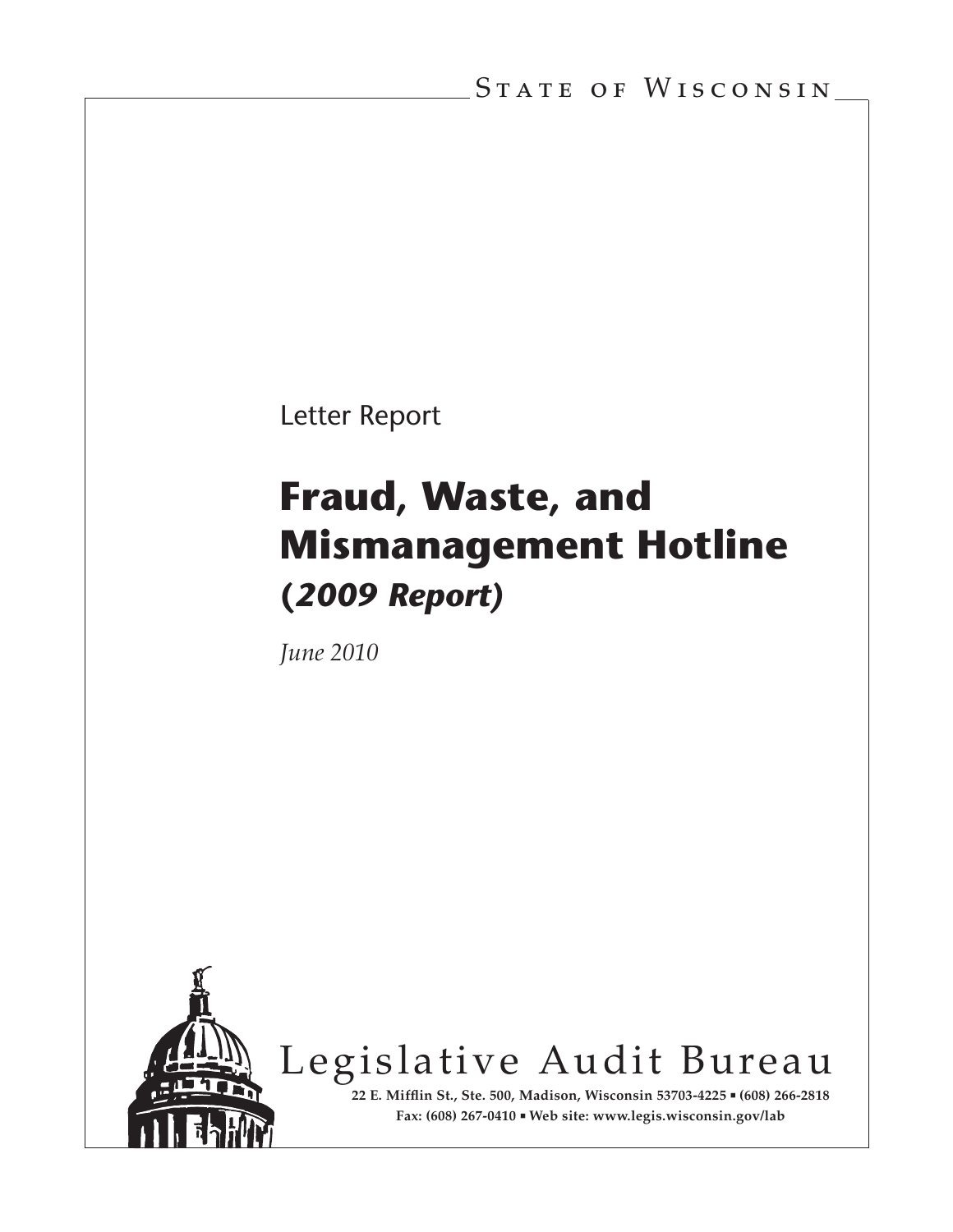Letter Report

# **Fraud, Waste, and Mismanagement Hotline (***2009 Report)*

*June 2010*



Legislative Audit Bureau

**22 E. Mifflin St., Ste. 500, Madison, Wisconsin 53703-4225 (608) 266-2818 Fax: (608) 267-0410 Web site: www.legis.wisconsin.gov/lab**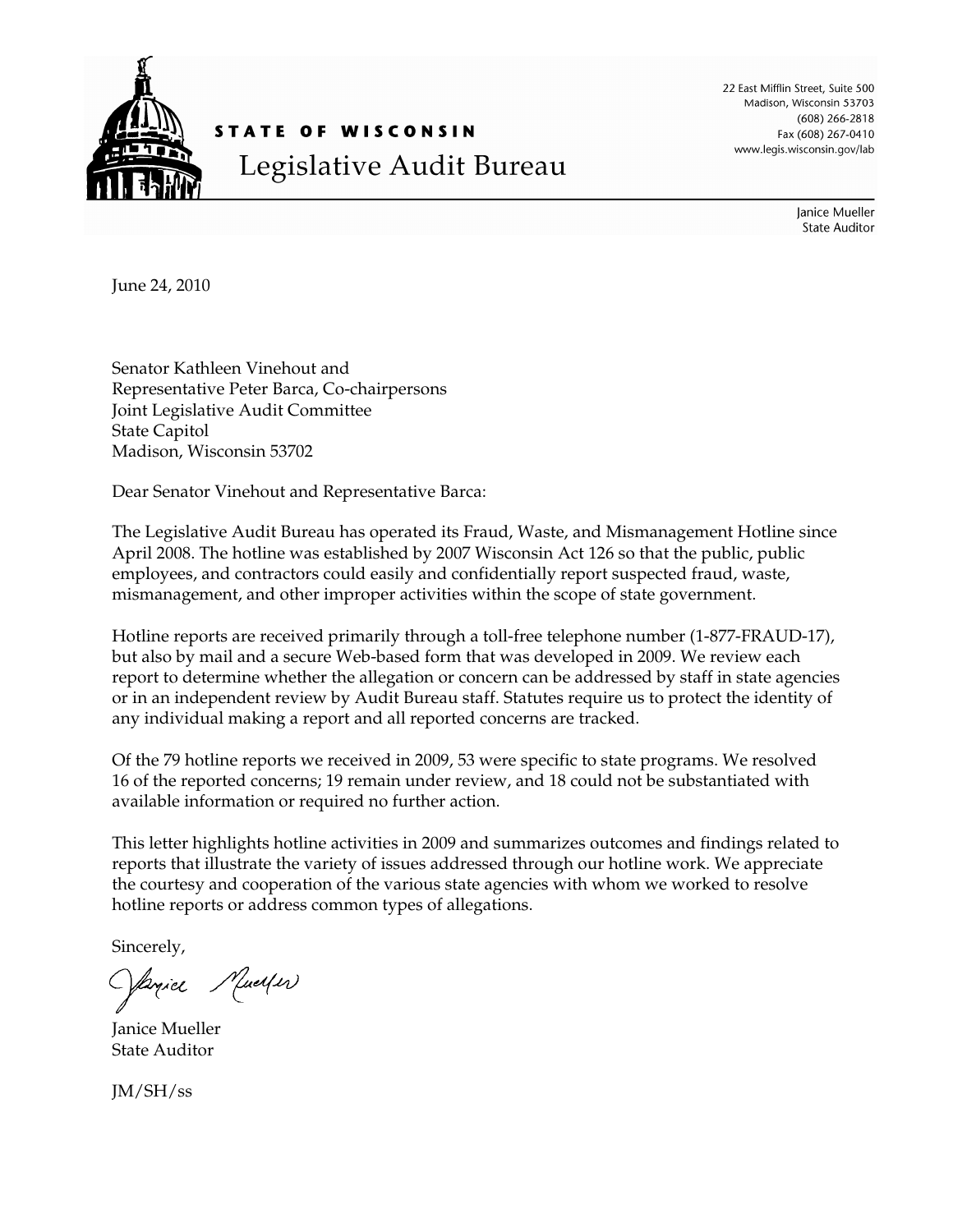

STATE OF WISCONSIN Legislative Audit Bureau 22 East Mifflin Street, Suite 500 Madison, Wisconsin 53703 (608) 266-2818 Fax (608) 267-0410 www.legis.wisconsin.gov/lab

> Janice Mueller **State Auditor**

June 24, 2010

Senator Kathleen Vinehout and Representative Peter Barca, Co-chairpersons Joint Legislative Audit Committee State Capitol Madison, Wisconsin 53702

Dear Senator Vinehout and Representative Barca:

The Legislative Audit Bureau has operated its Fraud, Waste, and Mismanagement Hotline since April 2008. The hotline was established by 2007 Wisconsin Act 126 so that the public, public employees, and contractors could easily and confidentially report suspected fraud, waste, mismanagement, and other improper activities within the scope of state government.

Hotline reports are received primarily through a toll-free telephone number (1-877-FRAUD-17), but also by mail and a secure Web-based form that was developed in 2009. We review each report to determine whether the allegation or concern can be addressed by staff in state agencies or in an independent review by Audit Bureau staff. Statutes require us to protect the identity of any individual making a report and all reported concerns are tracked.

Of the 79 hotline reports we received in 2009, 53 were specific to state programs. We resolved 16 of the reported concerns; 19 remain under review, and 18 could not be substantiated with available information or required no further action.

This letter highlights hotline activities in 2009 and summarizes outcomes and findings related to reports that illustrate the variety of issues addressed through our hotline work. We appreciate the courtesy and cooperation of the various state agencies with whom we worked to resolve hotline reports or address common types of allegations.

Sincerely,

Oprice Muerfer

Janice Mueller State Auditor

JM/SH/ss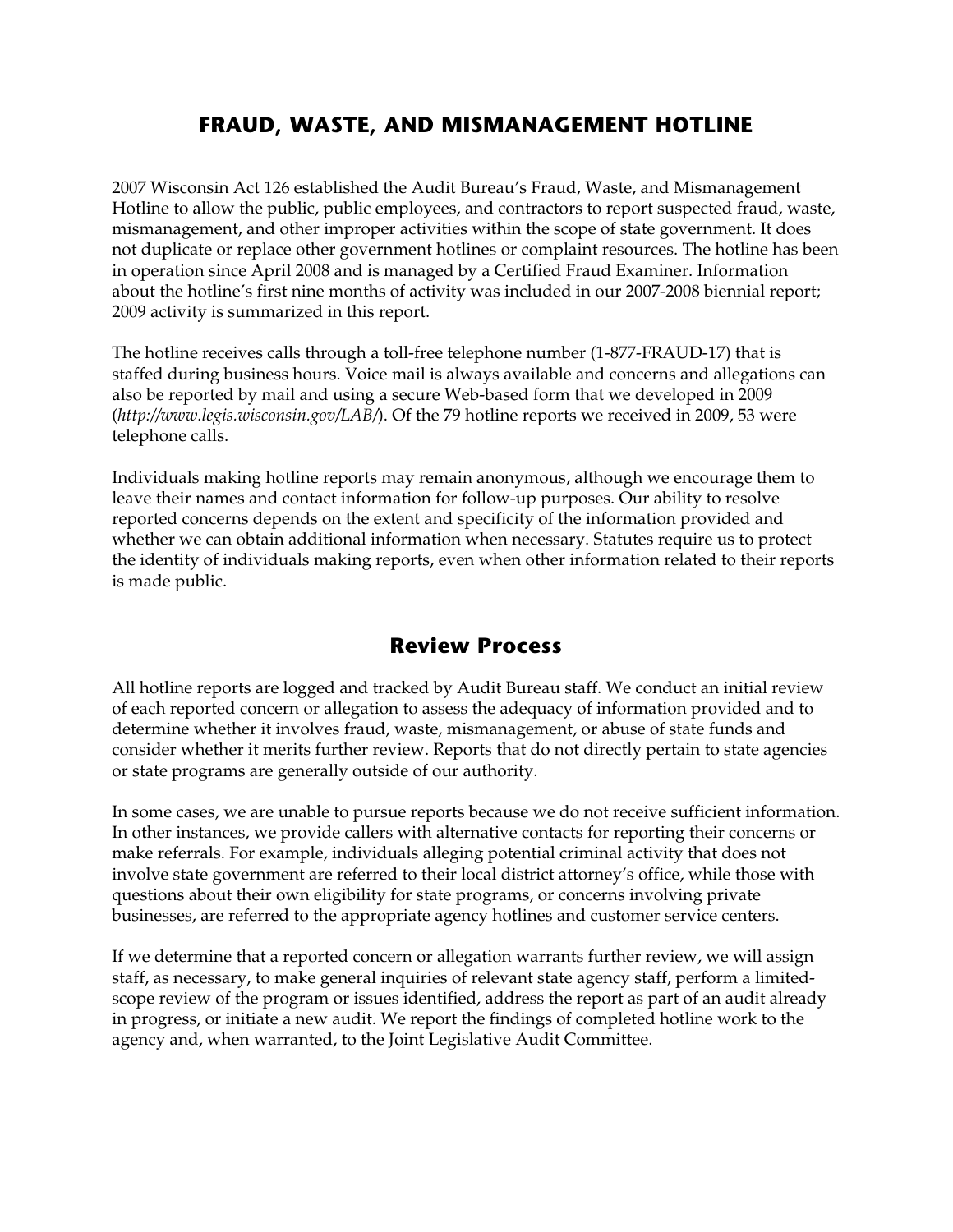## **FRAUD, WASTE, AND MISMANAGEMENT HOTLINE**

2007 Wisconsin Act 126 established the Audit Bureau's Fraud, Waste, and Mismanagement Hotline to allow the public, public employees, and contractors to report suspected fraud, waste, mismanagement, and other improper activities within the scope of state government. It does not duplicate or replace other government hotlines or complaint resources. The hotline has been in operation since April 2008 and is managed by a Certified Fraud Examiner. Information about the hotline's first nine months of activity was included in our 2007-2008 biennial report; 2009 activity is summarized in this report.

The hotline receives calls through a toll-free telephone number (1-877-FRAUD-17) that is staffed during business hours. Voice mail is always available and concerns and allegations can also be reported by mail and using a secure Web-based form that we developed in 2009 (*http://www.legis.wisconsin.gov/LAB/*). Of the 79 hotline reports we received in 2009, 53 were telephone calls.

Individuals making hotline reports may remain anonymous, although we encourage them to leave their names and contact information for follow-up purposes. Our ability to resolve reported concerns depends on the extent and specificity of the information provided and whether we can obtain additional information when necessary. Statutes require us to protect the identity of individuals making reports, even when other information related to their reports is made public.

## **Review Process**

All hotline reports are logged and tracked by Audit Bureau staff. We conduct an initial review of each reported concern or allegation to assess the adequacy of information provided and to determine whether it involves fraud, waste, mismanagement, or abuse of state funds and consider whether it merits further review. Reports that do not directly pertain to state agencies or state programs are generally outside of our authority.

In some cases, we are unable to pursue reports because we do not receive sufficient information. In other instances, we provide callers with alternative contacts for reporting their concerns or make referrals. For example, individuals alleging potential criminal activity that does not involve state government are referred to their local district attorney's office, while those with questions about their own eligibility for state programs, or concerns involving private businesses, are referred to the appropriate agency hotlines and customer service centers.

If we determine that a reported concern or allegation warrants further review, we will assign staff, as necessary, to make general inquiries of relevant state agency staff, perform a limitedscope review of the program or issues identified, address the report as part of an audit already in progress, or initiate a new audit. We report the findings of completed hotline work to the agency and, when warranted, to the Joint Legislative Audit Committee.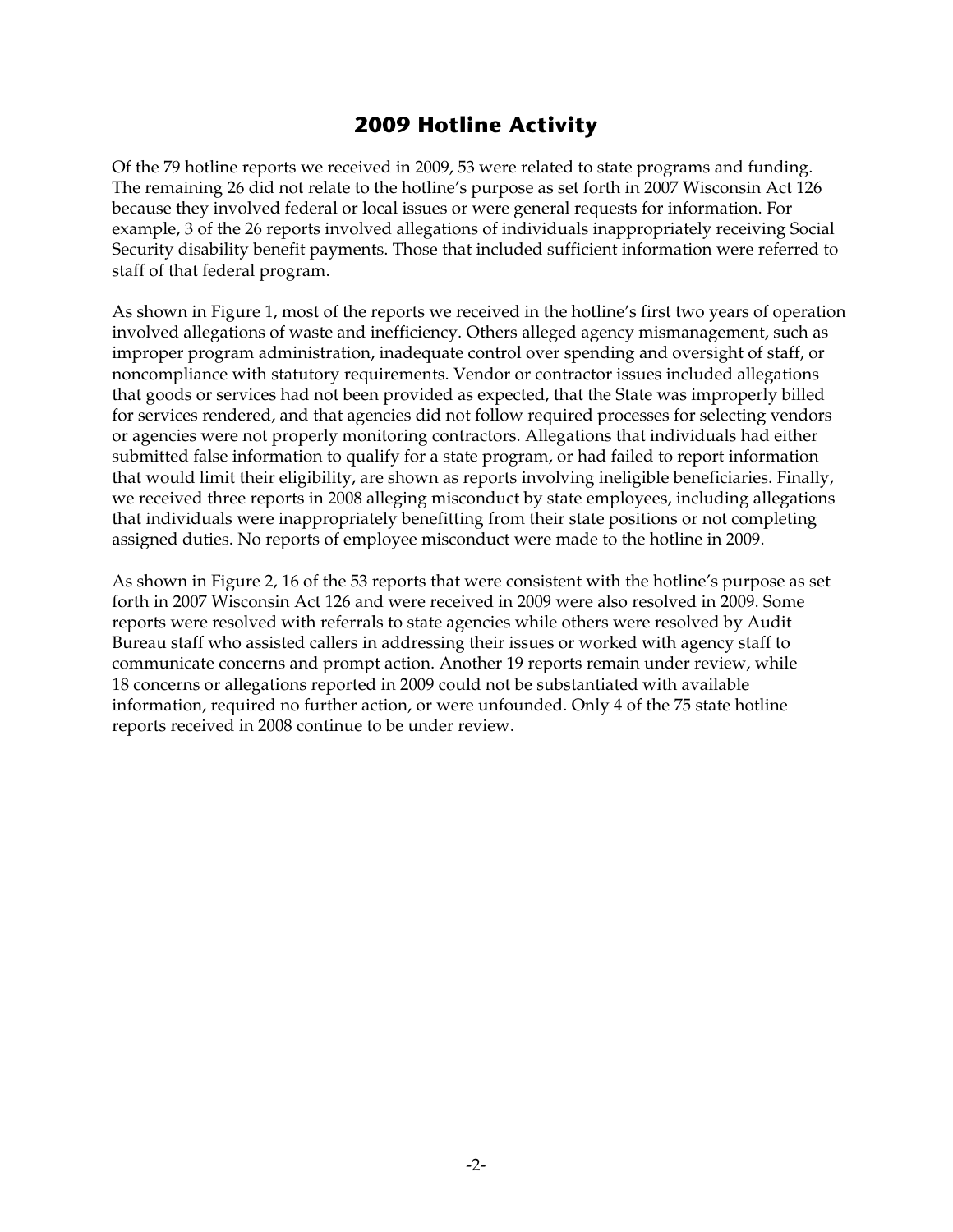# **2009 Hotline Activity**

Of the 79 hotline reports we received in 2009, 53 were related to state programs and funding. The remaining 26 did not relate to the hotline's purpose as set forth in 2007 Wisconsin Act 126 because they involved federal or local issues or were general requests for information. For example, 3 of the 26 reports involved allegations of individuals inappropriately receiving Social Security disability benefit payments. Those that included sufficient information were referred to staff of that federal program.

As shown in Figure 1, most of the reports we received in the hotline's first two years of operation involved allegations of waste and inefficiency. Others alleged agency mismanagement, such as improper program administration, inadequate control over spending and oversight of staff, or noncompliance with statutory requirements. Vendor or contractor issues included allegations that goods or services had not been provided as expected, that the State was improperly billed for services rendered, and that agencies did not follow required processes for selecting vendors or agencies were not properly monitoring contractors. Allegations that individuals had either submitted false information to qualify for a state program, or had failed to report information that would limit their eligibility, are shown as reports involving ineligible beneficiaries. Finally, we received three reports in 2008 alleging misconduct by state employees, including allegations that individuals were inappropriately benefitting from their state positions or not completing assigned duties. No reports of employee misconduct were made to the hotline in 2009.

As shown in Figure 2, 16 of the 53 reports that were consistent with the hotline's purpose as set forth in 2007 Wisconsin Act 126 and were received in 2009 were also resolved in 2009. Some reports were resolved with referrals to state agencies while others were resolved by Audit Bureau staff who assisted callers in addressing their issues or worked with agency staff to communicate concerns and prompt action. Another 19 reports remain under review, while 18 concerns or allegations reported in 2009 could not be substantiated with available information, required no further action, or were unfounded. Only 4 of the 75 state hotline reports received in 2008 continue to be under review.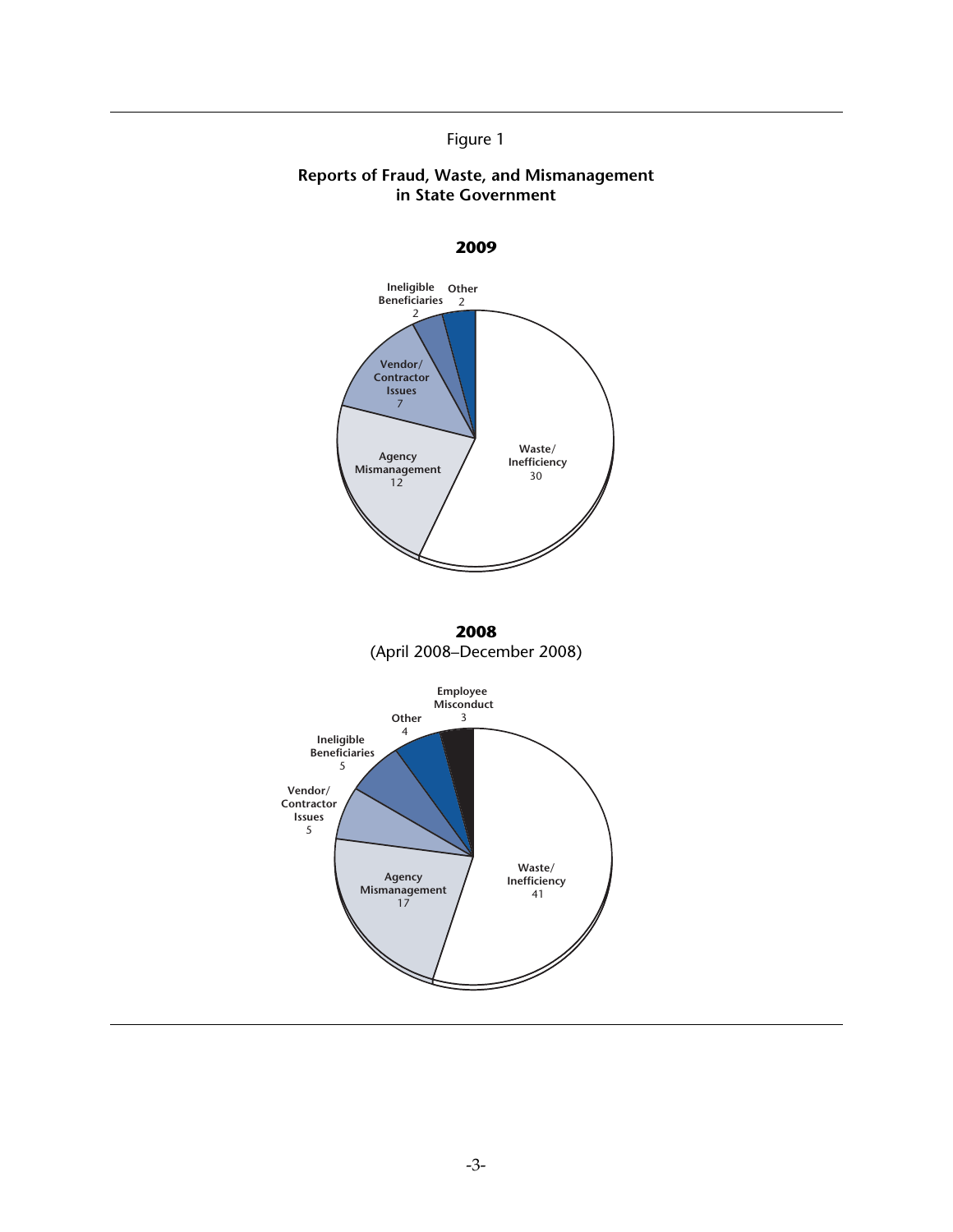#### Figure 1

#### **Reports of Fraud, Waste, and Mismanagement in State Government**

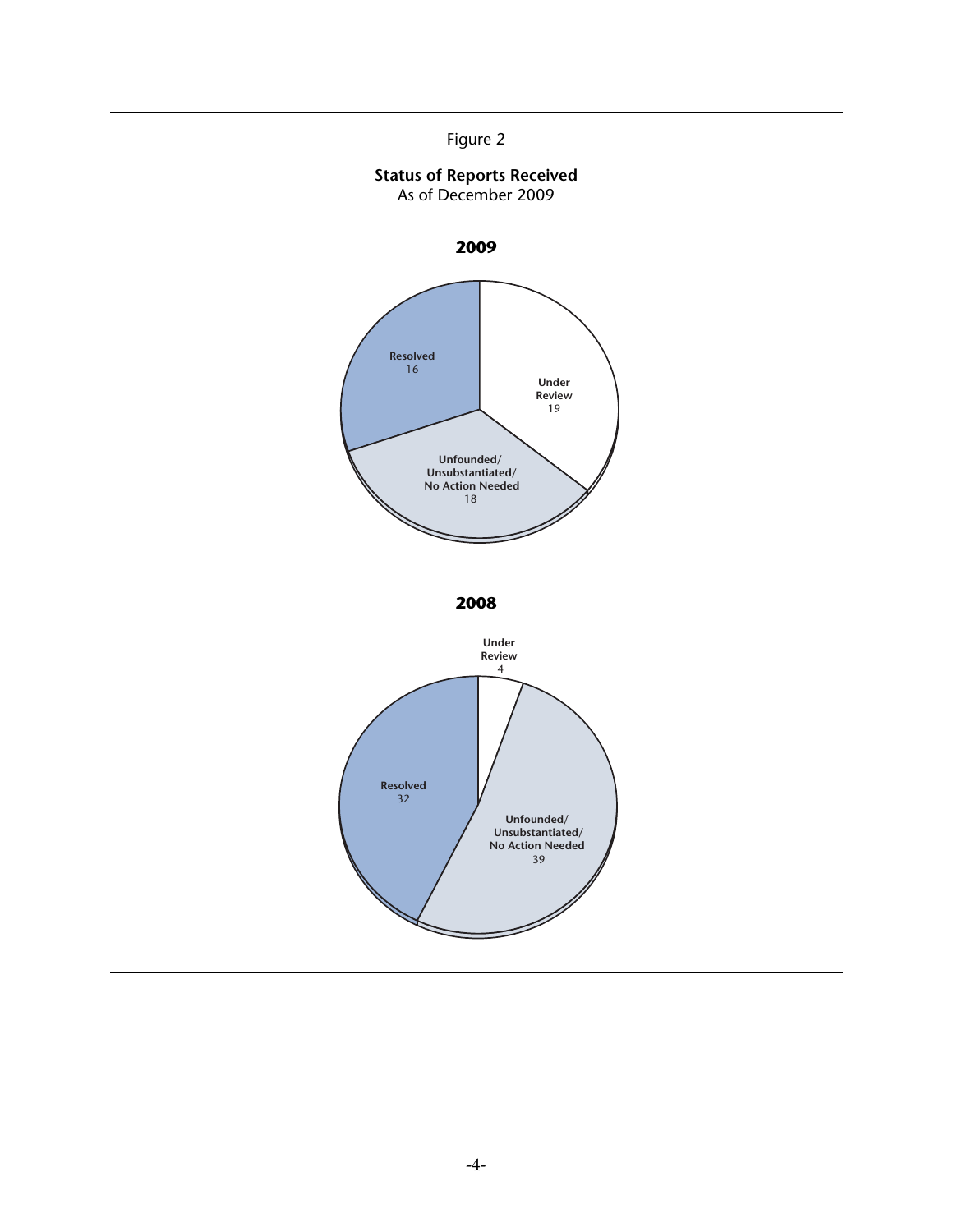

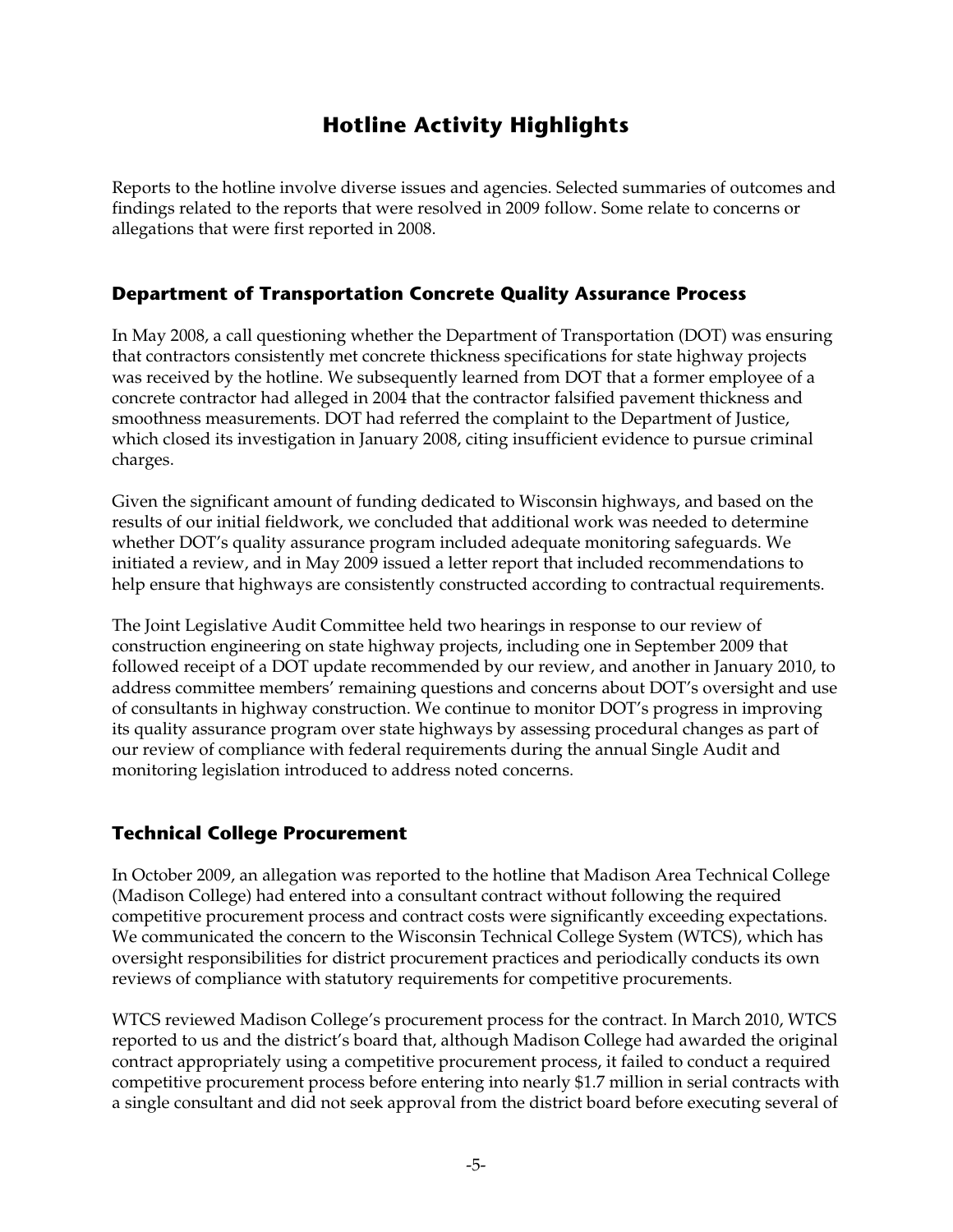# **Hotline Activity Highlights**

Reports to the hotline involve diverse issues and agencies. Selected summaries of outcomes and findings related to the reports that were resolved in 2009 follow. Some relate to concerns or allegations that were first reported in 2008.

## **Department of Transportation Concrete Quality Assurance Process**

In May 2008, a call questioning whether the Department of Transportation (DOT) was ensuring that contractors consistently met concrete thickness specifications for state highway projects was received by the hotline. We subsequently learned from DOT that a former employee of a concrete contractor had alleged in 2004 that the contractor falsified pavement thickness and smoothness measurements. DOT had referred the complaint to the Department of Justice, which closed its investigation in January 2008, citing insufficient evidence to pursue criminal charges.

Given the significant amount of funding dedicated to Wisconsin highways, and based on the results of our initial fieldwork, we concluded that additional work was needed to determine whether DOT's quality assurance program included adequate monitoring safeguards. We initiated a review, and in May 2009 issued a letter report that included recommendations to help ensure that highways are consistently constructed according to contractual requirements.

The Joint Legislative Audit Committee held two hearings in response to our review of construction engineering on state highway projects, including one in September 2009 that followed receipt of a DOT update recommended by our review, and another in January 2010, to address committee members' remaining questions and concerns about DOT's oversight and use of consultants in highway construction. We continue to monitor DOT's progress in improving its quality assurance program over state highways by assessing procedural changes as part of our review of compliance with federal requirements during the annual Single Audit and monitoring legislation introduced to address noted concerns.

## **Technical College Procurement**

In October 2009, an allegation was reported to the hotline that Madison Area Technical College (Madison College) had entered into a consultant contract without following the required competitive procurement process and contract costs were significantly exceeding expectations. We communicated the concern to the Wisconsin Technical College System (WTCS), which has oversight responsibilities for district procurement practices and periodically conducts its own reviews of compliance with statutory requirements for competitive procurements.

WTCS reviewed Madison College's procurement process for the contract. In March 2010, WTCS reported to us and the district's board that, although Madison College had awarded the original contract appropriately using a competitive procurement process, it failed to conduct a required competitive procurement process before entering into nearly \$1.7 million in serial contracts with a single consultant and did not seek approval from the district board before executing several of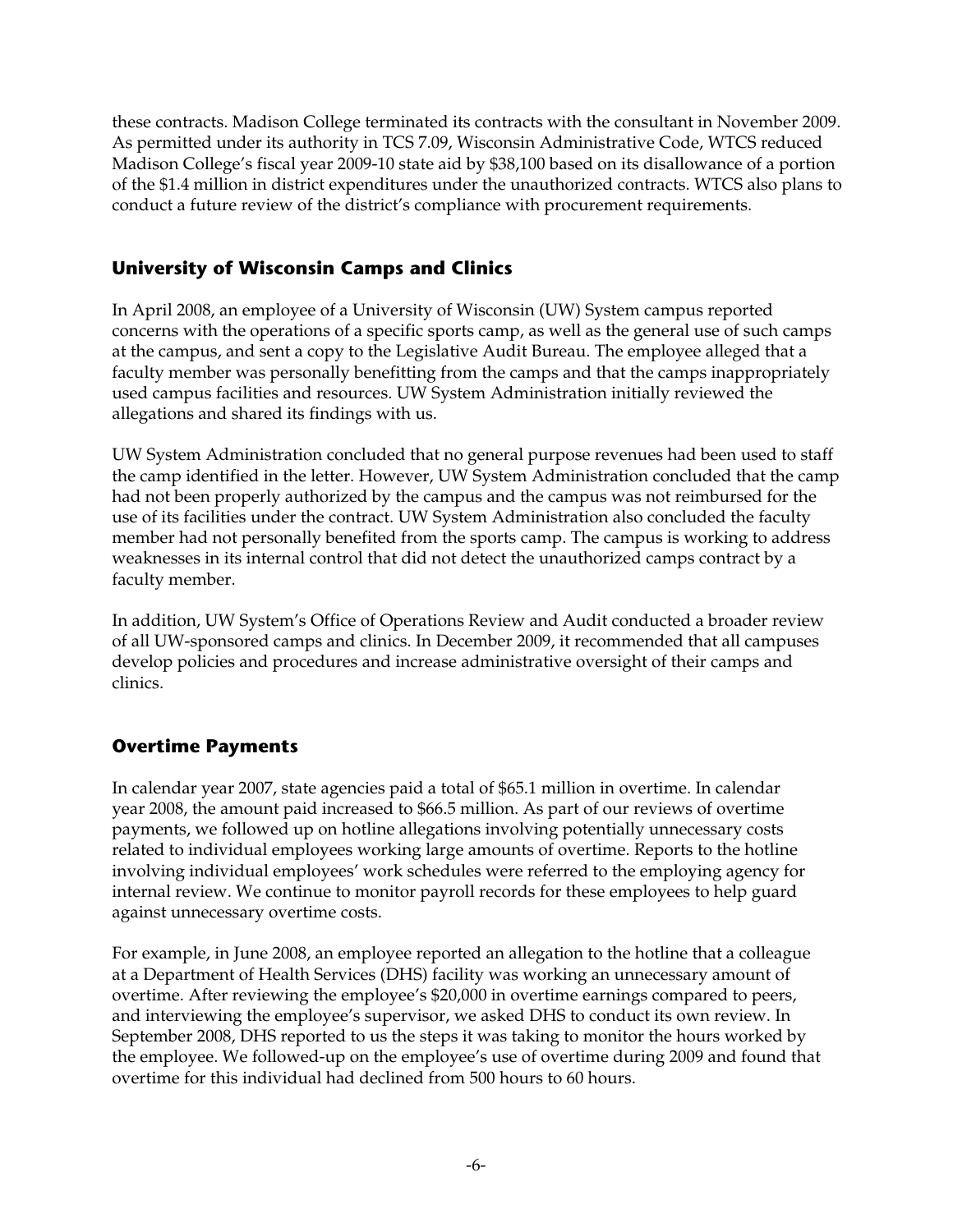these contracts. Madison College terminated its contracts with the consultant in November 2009. As permitted under its authority in TCS 7.09, Wisconsin Administrative Code, WTCS reduced Madison College's fiscal year 2009-10 state aid by \$38,100 based on its disallowance of a portion of the \$1.4 million in district expenditures under the unauthorized contracts. WTCS also plans to conduct a future review of the district's compliance with procurement requirements.

## **University of Wisconsin Camps and Clinics**

In April 2008, an employee of a University of Wisconsin (UW) System campus reported concerns with the operations of a specific sports camp, as well as the general use of such camps at the campus, and sent a copy to the Legislative Audit Bureau. The employee alleged that a faculty member was personally benefitting from the camps and that the camps inappropriately used campus facilities and resources. UW System Administration initially reviewed the allegations and shared its findings with us.

UW System Administration concluded that no general purpose revenues had been used to staff the camp identified in the letter. However, UW System Administration concluded that the camp had not been properly authorized by the campus and the campus was not reimbursed for the use of its facilities under the contract. UW System Administration also concluded the faculty member had not personally benefited from the sports camp. The campus is working to address weaknesses in its internal control that did not detect the unauthorized camps contract by a faculty member.

In addition, UW System's Office of Operations Review and Audit conducted a broader review of all UW-sponsored camps and clinics. In December 2009, it recommended that all campuses develop policies and procedures and increase administrative oversight of their camps and clinics.

## **Overtime Payments**

In calendar year 2007, state agencies paid a total of \$65.1 million in overtime. In calendar year 2008, the amount paid increased to \$66.5 million. As part of our reviews of overtime payments, we followed up on hotline allegations involving potentially unnecessary costs related to individual employees working large amounts of overtime. Reports to the hotline involving individual employees' work schedules were referred to the employing agency for internal review. We continue to monitor payroll records for these employees to help guard against unnecessary overtime costs.

For example, in June 2008, an employee reported an allegation to the hotline that a colleague at a Department of Health Services (DHS) facility was working an unnecessary amount of overtime. After reviewing the employee's \$20,000 in overtime earnings compared to peers, and interviewing the employee's supervisor, we asked DHS to conduct its own review. In September 2008, DHS reported to us the steps it was taking to monitor the hours worked by the employee. We followed-up on the employee's use of overtime during 2009 and found that overtime for this individual had declined from 500 hours to 60 hours.